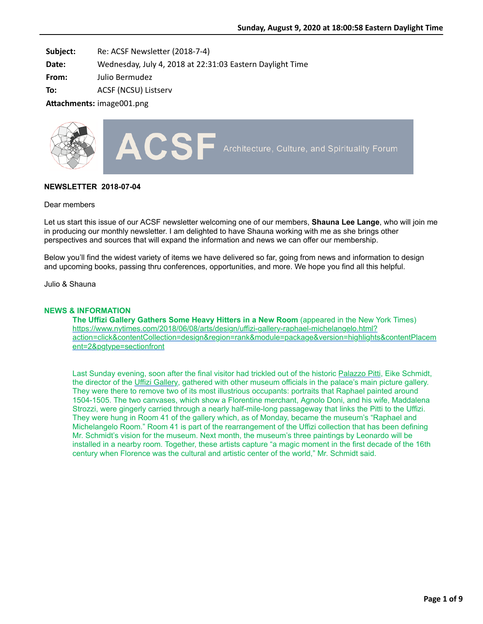**Subject:** Re: ACSF Newsletter (2018-7-4)

**Date:** Wednesday, July 4, 2018 at 22:31:03 Eastern Daylight Time

**From:** Julio Bermudez

**To:** ACSF (NCSU) Listserv

**Attachments: image001.png** 



# **NEWSLETTER 2018-07-04**

### Dear members

Let us start this issue of our ACSF newsletter welcoming one of our members, **Shauna Lee Lange**, who will join me in producing our monthly newsletter. I am delighted to have Shauna working with me as she brings other perspectives and sources that will expand the information and news we can offer our membership.

Below you'll find the widest variety of items we have delivered so far, going from news and information to design and upcoming books, passing thru conferences, opportunities, and more. We hope you find all this helpful.

Julio & Shauna

### **NEWS & INFORMATION**

**The Uffizi Gallery Gathers Some Heavy Hitters in a New Room** (appeared in the New York Times) https://www.nytimes.com/2018/06/08/arts/design/uffizi-gallery-raphael-michelangelo.html? [action=click&contentCollection=design&region=rank&module=package&version=highlights&contentPlacem](https://www.nytimes.com/2018/06/08/arts/design/uffizi-gallery-raphael-michelangelo.html?action=click&contentCollection=design®ion=rank&module=package&version=highlights&contentPlacement=2&pgtype=sectionfront) ent=2&pgtype=sectionfront

Last Sunday evening, soon after the final visitor had trickled out of the historic [Palazzo Pitti,](https://www.uffizi.it/en/pitti-palace) Eike Schmidt, the director of the [Uffizi Gallery,](https://www.uffizi.it/en/the-uffizi) gathered with other museum officials in the palace's main picture gallery. They were there to remove two of its most illustrious occupants: portraits that Raphael painted around 1504-1505. The two canvases, which show a Florentine merchant, Agnolo Doni, and his wife, Maddalena Strozzi, were gingerly carried through a nearly half-mile-long passageway that links the Pitti to the Uffizi. They were hung in Room 41 of the gallery which, as of Monday, became the museum's "Raphael and Michelangelo Room." Room 41 is part of the rearrangement of the Uffizi collection that has been defining Mr. Schmidt's vision for the museum. Next month, the museum's three paintings by Leonardo will be installed in a nearby room. Together, these artists capture "a magic moment in the first decade of the 16th century when Florence was the cultural and artistic center of the world," Mr. Schmidt said.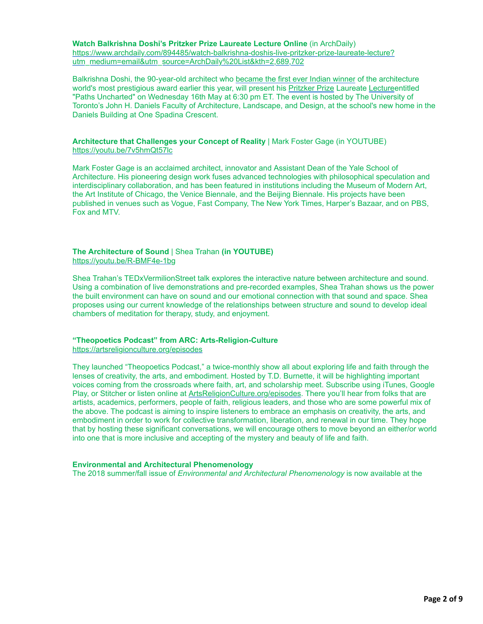**Watch Balkrishna Doshi's Pritzker Prize Laureate Lecture Online** (in ArchDaily) [https://www.archdaily.com/894485/watch-balkrishna-doshis-live-pritzker-prize-laureate-lecture?](https://www.archdaily.com/894485/watch-balkrishna-doshis-live-pritzker-prize-laureate-lecture?utm_medium=email&utm_source=ArchDaily%20List&kth=2,689,702) utm\_medium=email&utm\_source=ArchDaily%20List&kth=2,689,702

Balkrishna Doshi, the 90-year-old architect who [became the first ever Indian winner](https://www.archdaily.com/890126/balkrishna-doshi-named-2018-pritzker-prize-laureate) of the architecture world's most prestigious award earlier this year, will present his [Pritzker Prize](https://www.archdaily.com/tag/pritzker-prize) Laureate [Lecture](https://www.archdaily.com/tag/lecture)entitled "Paths Uncharted" on Wednesday 16th May at 6:30 pm ET. The event is hosted by The University of Toronto's John H. Daniels Faculty of Architecture, Landscape, and Design, at the school's new home in the Daniels Building at One Spadina Crescent.

### **Architecture that Challenges your Concept of Reality** | Mark Foster Gage (in YOUTUBE) <https://youtu.be/7v5hmQt57lc>

Mark Foster Gage is an acclaimed architect, innovator and Assistant Dean of the Yale School of Architecture. His pioneering design work fuses advanced technologies with philosophical speculation and interdisciplinary collaboration, and has been featured in institutions including the Museum of Modern Art, the Art Institute of Chicago, the Venice Biennale, and the Beijing Biennale. His projects have been published in venues such as Vogue, Fast Company, The New York Times, Harper's Bazaar, and on PBS, Fox and MTV.

## **The Architecture of Sound** | Shea Trahan **(in YOUTUBE)** <https://youtu.be/R-BMF4e-1bg>

Shea Trahan's TEDxVermilionStreet talk explores the interactive nature between architecture and sound. Using a combination of live demonstrations and pre-recorded examples, Shea Trahan shows us the power the built environment can have on sound and our emotional connection with that sound and space. Shea proposes using our current knowledge of the relationships between structure and sound to develop ideal chambers of meditation for therapy, study, and enjoyment.

# **"Theopoetics Podcast" from ARC: Arts-Religion-Culture**

<https://artsreligionculture.org/episodes>

They launched "Theopoetics Podcast," a twice-monthly show all about exploring life and faith through the lenses of creativity, the arts, and embodiment. Hosted by T.D. Burnette, it will be highlighting important voices coming from the crossroads where faith, art, and scholarship meet. Subscribe using iTunes, Google Play, or Stitcher or listen online at [ArtsReligionCulture.org/episodes.](https://artsreligionculture.us1.list-manage.com/track/click?u=ead71fee680f6db1c537b14b9&id=f733f9db81&e=d165ae8651) There you'll hear from folks that are artists, academics, performers, people of faith, religious leaders, and those who are some powerful mix of the above. The podcast is aiming to inspire listeners to embrace an emphasis on creativity, the arts, and embodiment in order to work for collective transformation, liberation, and renewal in our time. They hope that by hosting these significant conversations, we will encourage others to move beyond an either/or world into one that is more inclusive and accepting of the mystery and beauty of life and faith.

## **Environmental and Architectural Phenomenology**

The 2018 summer/fall issue of *Environmental and Architectural Phenomenology* is now available at the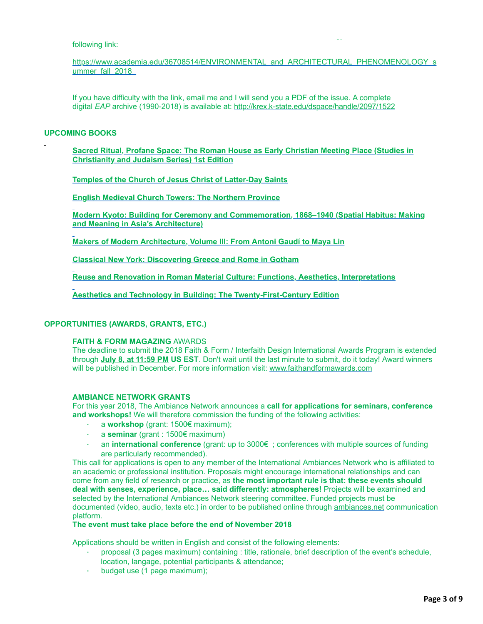## following link:

[https://www.academia.edu/36708514/ENVIRONMENTAL\\_and\\_ARCHITECTURAL\\_PHENOMENOLOGY\\_s](https://www.academia.edu/36708514/ENVIRONMENTAL_and_ARCHITECTURAL_PHENOMENOLOGY_summer_fall_2018_) ummer\_fall\_2018

The 2018 summer/fall issue of *Environmental and Architectural Phenomenology* is now available at the

If you have difficulty with the link, email me and I will send you a PDF of the issue. A complete digital *EAP* archive (1990-2018) is available at: <http://krex.k-state.edu/dspace/handle/2097/1522>

### **UPCOMING BOOKS**

**[Sacred Ritual, Profane Space: The Roman House as Early Christian Meeting Place \(Studies in](https://www.amazon.com/Sacred-Ritual-Profane-Space-Christianity/dp/0773553320/ref=mt_hardcover?_encoding=UTF8&me=&qid=1530555460) Christianity and Judaism Series) 1st Edition**

**[Temples of the Church of Jesus Christ of Latter-Day Saints](https://www.amazon.com/Temples-Church-Christ-Latter-Day-Saints/dp/1684126142/ref=sr_1_1?ie=UTF8&qid=1530555523&sr=8-1&keywords=sacred+places)**

**[English Medieval Church Towers: The Northern Province](https://www.amazon.com/English-Medieval-Church-Towers-Northern-ebook/dp/B07DR7RZ88/ref=sr_1_5?ie=UTF8&qid=1530555632&sr=8-5&keywords=architecture)**

**[Modern Kyoto: Building for Ceremony and Commemoration, 1868–1940 \(Spatial Habitus: Making](https://www.amazon.com/Modern-Kyoto-Commemoration-1868-1940-Architecture/dp/0824873750/ref=tmm_hrd_swatch_0?_encoding=UTF8&qid=1530555656&sr=8-9) and Meaning in Asia's Architecture)**

**[Makers of Modern Architecture, Volume III: From Antoni Gaudí to Maya Lin](https://www.amazon.com/Makers-Modern-Architecture-III-Antoni/dp/1681373025/ref=tmm_hrd_swatch_0?_encoding=UTF8&qid=1530555690&sr=8-15)**

**[Classical New York: Discovering Greece and Rome in Gotham](https://www.amazon.com/Classical-New-York-Discovering-Greece/dp/0823281027/ref=mt_hardcover?_encoding=UTF8&me=&qid=1530555720)**

**[Reuse and Renovation in Roman Material Culture: Functions, Aesthetics, Interpretations](https://www.amazon.com/Reuse-Renovation-Roman-Material-Culture/dp/110847389X/ref=mt_hardcover?_encoding=UTF8&me=&qid=1530555740)**

**[Aesthetics and Technology in Building: The Twenty-First-Century Edition](https://www.amazon.com/Aesthetics-Technology-Building-Twenty-First-Century-Nervi/dp/0252041690/ref=tmm_hrd_swatch_0?_encoding=UTF8&qid=1530555759&sr=8-25)**

## **OPPORTUNITIES (AWARDS, GRANTS, ETC.)**

### **FAITH & FORM MAGAZING** AWARDS

The deadline to submit the 2018 Faith & Form / Interfaith Design International Awards Program is extended through **July 8, at 11:59 PM US EST**. Don't wait until the last minute to submit, do it today! Award winners will be published in December. For more information visit: [www.faithandformawards.com](http://www.faithandformawards.com/)

### **AMBIANCE NETWORK GRANTS**

For this year 2018, The Ambiance Network announces a **call for applications for seminars, conference and workshops!** We will therefore commission the funding of the following activities:

- · a **workshop** (grant: 1500€ maximum);
- · a **seminar** (grant : 1500€ maximum)
- · an **international conference** (grant: up to 3000€ ; conferences with multiple sources of funding are particularly recommended).

This call for applications is open to any member of the International Ambiances Network who is affiliated to an academic or professional institution. Proposals might encourage international relationships and can come from any field of research or practice, as **the most important rule is that: these events should deal with senses, experience, place… said differently: atmospheres!** Projects will be examined and selected by the International Ambiances Network steering committee. Funded projects must be documented (video, audio, texts etc.) in order to be published online through [ambiances.net](http://ambiances.net/) communication platform.

# **The event must take place before the end of November 2018**

Applications should be written in English and consist of the following elements:

- · proposal (3 pages maximum) containing : title, rationale, brief description of the event's schedule, location, langage, potential participants & attendance;
- · budget use (1 page maximum);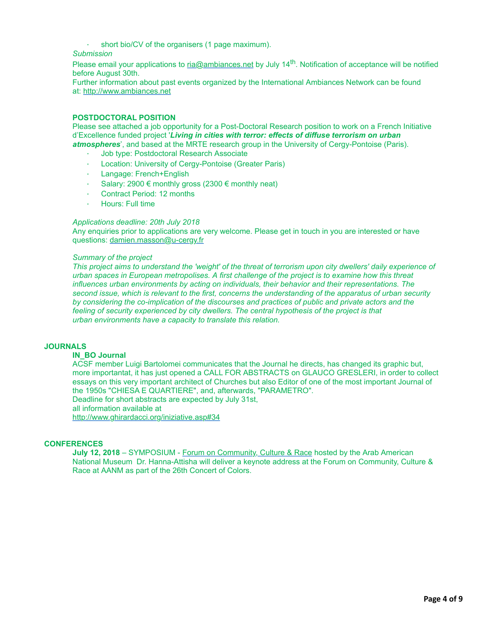short bio/CV of the organisers (1 page maximum).

*Submission*

Please email your applications to [ria@ambiances.net](mailto:contact@ambiances.net) by July 14<sup>th</sup>. Notification of acceptance will be notified before August 30th.

Further information about past events organized by the International Ambiances Network can be found at: [http://www.ambiances.net](http://www.ambiances.net/)

## **POSTDOCTORAL POSITION**

Please see attached a job opportunity for a Post-Doctoral Research position to work on a French Initiative d'Excellence funded project '*Living in cities with terror: effects of diffuse terrorism on urban atmospheres*', and based at the MRTE research group in the University of Cergy-Pontoise (Paris).

- · Job type: Postdoctoral Research Associate
- · Location: University of Cergy-Pontoise (Greater Paris)
- Langage: French+English
- Salary: 2900 € monthly gross (2300 € monthly neat)
- Contract Period: 12 months
- · Hours: Full time

### *Applications deadline: 20th July 2018*

Any enquiries prior to applications are very welcome. Please get in touch in you are interested or have questions: [damien.masson@u-cergy.fr](mailto:damien.masson@u-cergy.fr)

### *Summary of the project*

*This project aims to understand the 'weight' of the threat of terrorism upon city dwellers' daily experience of urban spaces in European metropolises. A first challenge of the project is to examine how this threat influences urban environments by acting on individuals, their behavior and their representations. The second issue, which is relevant to the first, concerns the understanding of the apparatus of urban security by considering the co-implication of the discourses and practices of public and private actors and the feeling of security experienced by city dwellers. The central hypothesis of the project is that urban environments have a capacity to translate this relation.*

# **JOURNALS**

## **IN\_BO Journal**

ACSF member Luigi Bartolomei communicates that the Journal he directs, has changed its graphic but, more importantat, it has just opened a CALL FOR ABSTRACTS on GLAUCO GRESLERI, in order to collect essays on this very important architect of Churches but also Editor of one of the most important Journal of the 1950s "CHIESA E QUARTIERE", and, afterwards, "PARAMETRO".

Deadline for short abstracts are expected by July 31st,

all information available at

<http://www.ghirardacci.org/iniziative.asp#34>

## **CONFERENCES**

**July 12, 2018** – SYMPOSIUM - [Forum on Community, Culture & Race](http://www.arabamericanmuseum.org/Forum2018) hosted by the Arab American National Museum Dr. Hanna-Attisha will deliver a keynote address at the Forum on Community, Culture & Race at AANM as part of the 26th Concert of Colors.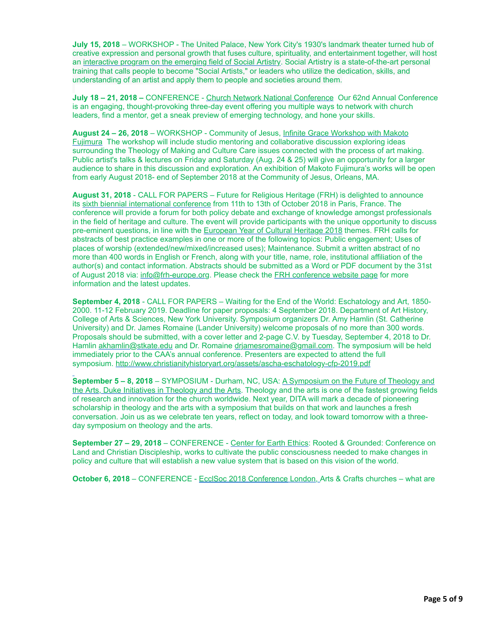**July 15, 2018** – WORKSHOP - The United Palace, New York City's 1930's landmark theater turned hub of creative expression and personal growth that fuses culture, spirituality, and entertainment together, will host an [interactive program on the emerging field of Social Artistry.](https://www.broadwayworld.com/article/Contemplate-The-Cosmos-And-Connect-Culturally-Spiritually-Beyond-At-United-Palaces-Social-Artistry-In-Action-Event-20180627) Social Artistry is a state-of-the-art personal training that calls people to become "Social Artists," or leaders who utilize the dedication, skills, and understanding of an artist and apply them to people and societies around them.

**July 18 – 21, 2018 –** CONFERENCE - [Church Network National Conference](https://www.nacba.net/Online/Default.aspx?hkey=37569f93-6444-4779-bc06-09510ce7aab9&WebsiteKey=ba72f541-126a-4a16-a4b3-a0d536936385) Our 62nd Annual Conference is an engaging, thought-provoking three-day event offering you multiple ways to network with church leaders, find a mentor, get a sneak preview of emerging technology, and hone your skills.

**August 24 – 26, 2018** – WORKSHOP - Community of Jesus, Infinite Grace Workshop with Makoto [Fujimura The workshop will include studio mentoring and collaborative discussion exploring ideas](https://mounttabor.it/events/infinite-grace/) surrounding the Theology of Making and Culture Care issues connected with the process of art making. Public artist's talks & lectures on Friday and Saturday (Aug. 24 & 25) will give an opportunity for a larger audience to share in this discussion and exploration. An exhibition of Makoto Fujimura's works will be open from early August 2018- end of September 2018 at the Community of Jesus, Orleans, MA.

**August 31, 2018** - CALL FOR PAPERS – Future for Religious Heritage (FRH) is delighted to announce its [sixth biennial international conference](https://frh-europe.us2.list-manage.com/track/click?u=d881e9f8cfce03ece5e6400ac&id=44e642599c&e=405bde47bc) from 11th to 13th of October 2018 in Paris, France. The conference will provide a forum for both policy debate and exchange of knowledge amongst professionals in the field of heritage and culture. The event will provide participants with the unique opportunity to discuss pre-eminent questions, in line with the [European Year of Cultural Heritage 2018](https://frh-europe.us2.list-manage.com/track/click?u=d881e9f8cfce03ece5e6400ac&id=0cd472d503&e=405bde47bc) themes. FRH calls for abstracts of best practice examples in one or more of the following topics: Public engagement; Uses of places of worship (extended/new/mixed/increased uses); Maintenance. Submit a written abstract of no more than 400 words in English or French, along with your title, name, role, institutional affiliation of the author(s) and contact information. Abstracts should be submitted as a Word or PDF document by the 31st of August 2018 via: [info@frh-europe.org.](mailto:info@frh-europe.org) Please check the [FRH conference website page](https://frh-europe.us2.list-manage.com/track/click?u=d881e9f8cfce03ece5e6400ac&id=5135700439&e=405bde47bc) for more information and the latest updates.

**September 4, 2018** - CALL FOR PAPERS – Waiting for the End of the World: Eschatology and Art, 1850- 2000. 11-12 February 2019. Deadline for paper proposals: 4 September 2018. Department of Art History, College of Arts & Sciences, New York University. Symposium organizers Dr. Amy Hamlin (St. Catherine University) and Dr. James Romaine (Lander University) welcome proposals of no more than 300 words. Proposals should be submitted, with a cover letter and 2-page C.V. by Tuesday, September 4, 2018 to Dr. Hamlin [akhamlin@stkate.edu](https://secure2.aluminati.net/pidgeme.com/svc/mail/src/compose.php?send_to=akhamlin@stkate.edu) and Dr. Romaine [drjamesromaine@gmail.com.](https://secure2.aluminati.net/pidgeme.com/svc/mail/src/compose.php?send_to=drjamesromaine@gmail.com) The symposium will be held immediately prior to the CAA's annual conference. Presenters are expected to attend the full symposium. <http://www.christianityhistoryart.org/assets/ascha-eschatology-cfp-2019.pdf>

**September 5 – 8, 2018** – SYMPOSIUM - Durham, NC, USA: A Symposium on the Future of Theology and [the Arts, Duke Initiatives in Theology and the Arts. Theology and the arts is one of the fastest growing fields](https://sites.duke.edu/dita/dita10/) of research and innovation for the church worldwide. Next year, DITA will mark a decade of pioneering scholarship in theology and the arts with a symposium that builds on that work and launches a fresh conversation. Join us as we celebrate ten years, reflect on today, and look toward tomorrow with a threeday symposium on theology and the arts.

**September 27 – 29, 2018** – CONFERENCE - [Center for Earth Ethics](https://centerforearthethics.org/event/rooted-and-grounded-conference-on-land-christian-discipleship/): Rooted & Grounded: Conference on Land and Christian Discipleship, works to cultivate the public consciousness needed to make changes in policy and culture that will establish a new value system that is based on this vision of the world.

**October 6, 2018** – CONFERENCE - [EcclSoc 2018 Conference](http://www.ecclsoc.org/) London, Arts & Crafts churches – what are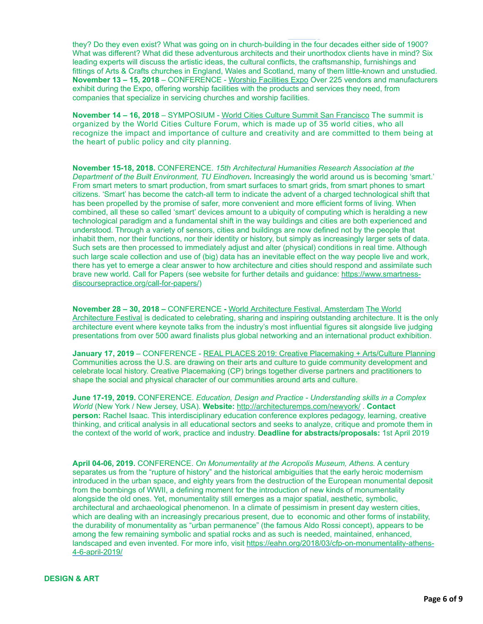they? Do they even exist? What was going on in church-building in the four decades either side of 1900? What was different? What did these adventurous architects and their unorthodox clients have in mind? Six leading experts will discuss the artistic ideas, the cultural conflicts, the craftsmanship, furnishings and fittings of Arts & Crafts churches in England, Wales and Scotland, many of them little-known and unstudied. **November 13 – 15, 2018** – CONFERENCE - [Worship Facilities Expo](https://www.wfxevents.com/en/home.html) Over 225 vendors and manufacturers exhibit during the Expo, offering worship facilities with the products and services they need, from companies that specialize in servicing churches and worship facilities.

**October 6, 2018** – CONFERENCE - [EcclSoc 2018 Conference](http://www.ecclsoc.org/) London, Arts & Crafts churches – what are

**November 14 – 16, 2018** – SYMPOSIUM - [World Cities Culture Summit San Francisco](http://www.worldcitiescultureforum.com/events/world-cities-culture-summit-san-francisco-2018) The summit is organized by the World Cities Culture Forum, which is made up of 35 world cities, who all recognize the impact and importance of culture and creativity and are committed to them being at the heart of public policy and city planning.

**November 15-18, 2018.** CONFERENCE. *15th Architectural Humanities Research Association at the Department of the Built Environment, TU Eindhoven.* Increasingly the world around us is becoming 'smart.' From smart meters to smart production, from smart surfaces to smart grids, from smart phones to smart citizens. 'Smart' has become the catch-all term to indicate the advent of a charged technological shift that has been propelled by the promise of safer, more convenient and more efficient forms of living. When combined, all these so called 'smart' devices amount to a ubiquity of computing which is heralding a new technological paradigm and a fundamental shift in the way buildings and cities are both experienced and understood. Through a variety of sensors, cities and buildings are now defined not by the people that inhabit them, nor their functions, nor their identity or history, but simply as increasingly larger sets of data. Such sets are then processed to immediately adjust and alter (physical) conditions in real time. Although such large scale collection and use of (big) data has an inevitable effect on the way people live and work, there has yet to emerge a clear answer to how architecture and cities should respond and assimilate such [brave new world. Call for Papers \(see website for further details and guidance:](https://www.smartness-discoursepractice.org/call-for-papers/) https://www.smartnessdiscoursepractice.org/call-for-papers/)

**November 28 – 30, 2018 –** CONFERENCE **-** [World Architecture Festival, Amsterdam](https://www.worldarchitecturefestival.com/) The World [Architecture Festival is dedicated to celebrating, sharing and inspiring outstanding architecture. It](https://www.worldarchitecturefestival.com/) is the only architecture event where keynote talks from the industry's most influential figures sit alongside live judging presentations from over 500 award finalists plus global networking and an international product exhibition.

**January 17, 2019** – CONFERENCE - [REAL PLACES 2019: Creative Placemaking + Arts/Culture Planning](http://www.thcfriends.org/real-places-2019-creative-placemaking-artsculture-planning) Communities across the U.S. are drawing on their arts and culture to guide community development and celebrate local history. Creative Placemaking (CP) brings together diverse partners and practitioners to shape the social and physical character of our communities around arts and culture.

**June 17-19, 2019.** CONFERENCE. *Education, Design and Practice - Understanding skills in a Complex World* (New York / New Jersey, USA). **Website:** <http://architecturemps.com/newyork/> . **Contact person:** Rachel Isaac. This interdisciplinary education conference explores pedagogy, learning, creative thinking, and critical analysis in all educational sectors and seeks to analyze, critique and promote them in the context of the world of work, practice and industry. **Deadline for abstracts/proposals:** 1st April 2019

**April 04-06, 2019.** CONFERENCE. *On Monumentality at the Acropolis Museum, Athens.* A century separates us from the "rupture of history" and the historical ambiguities that the early heroic modernism introduced in the urban space, and eighty years from the destruction of the European monumental deposit from the bombings of WWII, a defining moment for the introduction of new kinds of monumentality alongside the old ones. Yet, monumentality still emerges as a major spatial, aesthetic, symbolic, architectural and archaeological phenomenon. In a climate of pessimism in present day western cities, which are dealing with an increasingly precarious present, due to economic and other forms of instability, the durability of monumentality as "urban permanence" (the famous Aldo Rossi concept), appears to be among the few remaining symbolic and spatial rocks and as such is needed, maintained, enhanced, [landscaped and even invented. For more info, visit https://eahn.org/2018/03/cfp-on-monumentality-athens-](https://eahn.org/2018/03/cfp-on-monumentality-athens-4-6-april-2019/)4-6-april-2019/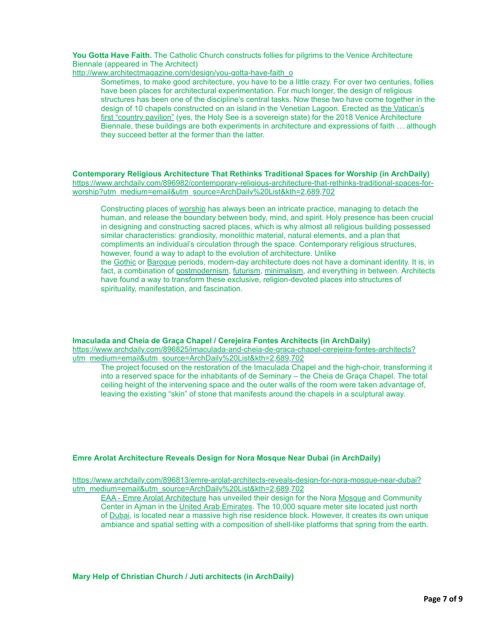**You Gotta Have Faith.** The Catholic Church constructs follies for pilgrims to the Venice Architecture Biennale (appeared in The Architect)

[http://www.architectmagazine.com/design/you-gotta-have-faith\\_o](http://www.architectmagazine.com/design/you-gotta-have-faith_o)

Sometimes, to make good architecture, you have to be a little crazy. For over two centuries, follies have been places for architectural experimentation. For much longer, the design of religious structures has been one of the discipline's central tasks. Now these two have come together in the [design of 10 chapels constructed on an island in the Venetian Lagoon. Erected as the Vatican's](http://www.labiennale.org/en/architecture/2018/national-participations/holy-see) first "country pavilion" (yes, the Holy See is a sovereign state) for the 2018 Venice Architecture Biennale, these buildings are both experiments in architecture and expressions of faith … although they succeed better at the former than the latter.

**Contemporary Religious Architecture That Rethinks Traditional Spaces for Worship (in ArchDaily)** [https://www.archdaily.com/896982/contemporary-religious-architecture-that-rethinks-traditional-spaces-for](https://www.archdaily.com/896982/contemporary-religious-architecture-that-rethinks-traditional-spaces-for-worship?utm_medium=email&utm_source=ArchDaily%20List&kth=2,689,702)worship?utm\_medium=email&utm\_source=ArchDaily%20List&kth=2,689,702

Constructing places of [worship](https://www.archdaily.com/category/religious-architecture) has always been an intricate practice, managing to detach the human, and release the boundary between body, mind, and spirit. Holy presence has been crucial in designing and constructing sacred places, which is why almost all religious building possessed similar characteristics: grandiosity, monolithic material, natural elements, and a plan that compliments an individual's circulation through the space. Contemporary religious structures, however, found a way to adapt to the evolution of architecture. Unlike the [Gothic](https://www.archdaily.com/tag/gothic) or [Baroque](https://www.archdaily.com/tag/baroque) periods, modern-day architecture does not have a dominant identity. It is, in fact, a combination of [postmodernism](https://www.archdaily.com/tag/postmodernism), [futurism](https://www.archdaily.com/tag/futurism), [minimalism](https://www.archdaily.com/tag/minimalism), and everything in between. Architects have found a way to transform these exclusive, religion-devoted places into structures of spirituality, manifestation, and fascination.

**Imaculada and Cheia de Graça Chapel / Cerejeira Fontes Architects (in ArchDaily)**

[https://www.archdaily.com/896825/imaculada-and-cheia-de-graca-chapel-cerejeira-fontes-architects?](https://www.archdaily.com/896825/imaculada-and-cheia-de-graca-chapel-cerejeira-fontes-architects?utm_medium=email&utm_source=ArchDaily%20List&kth=2,689,702) utm\_medium=email&utm\_source=ArchDaily%20List&kth=2,689,702

The project focused on the restoration of the Imaculada Chapel and the high-choir, transforming it into a reserved space for the inhabitants of de Seminary – the Cheia de Graça Chapel. The total ceiling height of the intervening space and the outer walls of the room were taken advantage of, leaving the existing "skin" of stone that manifests around the chapels in a sculptural away.

### **Emre Arolat Architecture Reveals Design for Nora Mosque Near Dubai (in ArchDaily)**

[https://www.archdaily.com/896813/emre-arolat-architects-reveals-design-for-nora-mosque-near-dubai?](https://www.archdaily.com/896813/emre-arolat-architects-reveals-design-for-nora-mosque-near-dubai?utm_medium=email&utm_source=ArchDaily%20List&kth=2,689,702) utm\_medium=email&utm\_source=ArchDaily%20List&kth=2,689,702

[EAA - Emre Arolat Architecture](https://www.archdaily.com/office/emre-arolat-architects) has unveiled their design for the Nora [Mosque](https://www.archdaily.com/tag/mosque) and Community Center in Ajman in the [United Arab Emirates.](https://www.archdaily.com/country/united-arab-emirates) The 10,000 square meter site located just north of [Dubai](https://www.archdaily.com/tag/dubai), is located near a massive high rise residence block. However, it creates its own unique ambiance and spatial setting with a composition of shell-like platforms that spring from the earth.

**Mary Help of Christian Church / Juti architects (in ArchDaily)**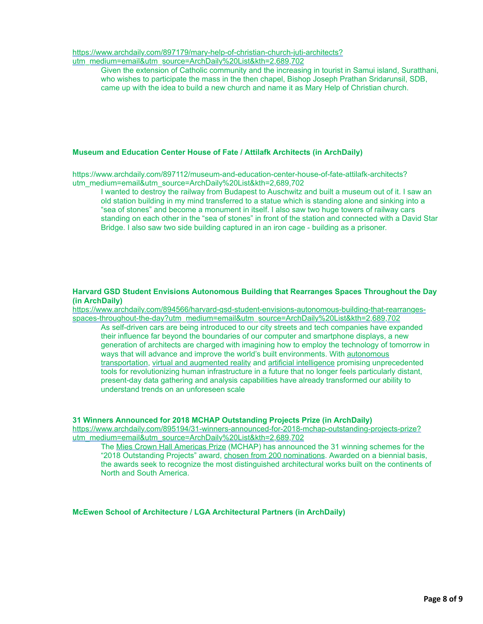[https://www.archdaily.com/897179/mary-help-of-christian-church-juti-architects?](https://www.archdaily.com/897179/mary-help-of-christian-church-juti-architects?utm_medium=email&utm_source=ArchDaily%20List&kth=2,689,702) utm\_medium=email&utm\_source=ArchDaily%20List&kth=2,689,702

Given the extension of Catholic community and the increasing in tourist in Samui island, Suratthani, who wishes to participate the mass in the then chapel, Bishop Joseph Prathan Sridarunsil, SDB, came up with the idea to build a new church and name it as Mary Help of Christian church.

# **Museum and Education Center House of Fate / Attilafk Architects (in ArchDaily)**

https://www.archdaily.com/897112/museum-and-education-center-house-of-fate-attilafk-architects? utm\_medium=email&utm\_source=ArchDaily%20List&kth=2,689,702

I wanted to destroy the railway from Budapest to Auschwitz and built a museum out of it. I saw an old station building in my mind transferred to a statue which is standing alone and sinking into a "sea of stones" and become a monument in itself. I also saw two huge towers of railway cars standing on each other in the "sea of stones" in front of the station and connected with a David Star Bridge. I also saw two side building captured in an iron cage - building as a prisoner.

## **Harvard GSD Student Envisions Autonomous Building that Rearranges Spaces Throughout the Day (in ArchDaily)**

[https://www.archdaily.com/894566/harvard-gsd-student-envisions-autonomous-building-that-rearranges](https://www.archdaily.com/894566/harvard-gsd-student-envisions-autonomous-building-that-rearranges-spaces-throughout-the-day?utm_medium=email&utm_source=ArchDaily%20List&kth=2,689,702)spaces-throughout-the-day?utm\_medium=email&utm\_source=ArchDaily%20List&kth=2,689,702

As self-driven cars are being introduced to our city streets and tech companies have expanded their influence far beyond the boundaries of our computer and smartphone displays, a new generation of architects are charged with imagining how to employ the technology of tomorrow in ways that will advance and improve the world's built environments. With autonomous [transportation, virtual and augmented reality and artificial intelligence promising unpre](https://www.archdaily.com/780512/how-driverless-cars-could-should-and-shouldnt-reshape-our-cities)cedented tools for revolutionizing human infrastructure in a future that no longer feels particularly distant, present-day data gathering and analysis capabilities have already transformed our ability to understand trends on an unforeseen scale

### **31 Winners Announced for 2018 MCHAP Outstanding Projects Prize (in ArchDaily)**

[https://www.archdaily.com/895194/31-winners-announced-for-2018-mchap-outstanding-projects-prize?](https://www.archdaily.com/895194/31-winners-announced-for-2018-mchap-outstanding-projects-prize?utm_medium=email&utm_source=ArchDaily%20List&kth=2,689,702) utm\_medium=email&utm\_source=ArchDaily%20List&kth=2,689,702

The [Mies Crown Hall Americas Prize](https://www.archdaily.com/tag/mies-crown-hall-americas-prize) (MCHAP) has announced the 31 winning schemes for the "2018 Outstanding Projects" award, [chosen from 200 nominations.](https://www.archdaily.com/889271/mchap-reveals-nominees-for-mies-crown-hall-americas-prize-2016-2017) Awarded on a biennial basis, the awards seek to recognize the most distinguished architectural works built on the continents of North and South America.

**McEwen School of Architecture / LGA Architectural Partners (in ArchDaily)**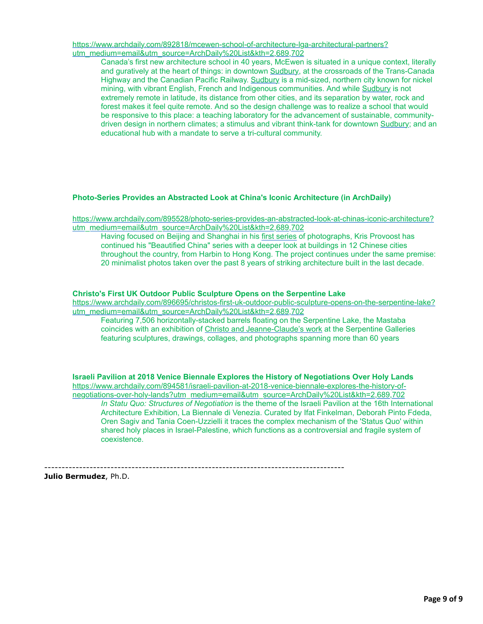[https://www.archdaily.com/892818/mcewen-school-of-architecture-lga-architectural-partners?](https://www.archdaily.com/892818/mcewen-school-of-architecture-lga-architectural-partners?utm_medium=email&utm_source=ArchDaily%20List&kth=2,689,702) utm\_medium=email&utm\_source=ArchDaily%20List&kth=2,689,702

Canada's first new architecture school in 40 years, McEwen is situated in a unique context, literally and guratively at the heart of things: in downtown [Sudbury,](https://www.archdaily.com/tag/sudbury) at the crossroads of the Trans-Canada Highway and the Canadian Pacific Railway. [Sudbury](https://www.archdaily.com/tag/sudbury) is a mid-sized, northern city known for nickel mining, with vibrant English, French and Indigenous communities. And while [Sudbury](https://www.archdaily.com/tag/sudbury) is not extremely remote in latitude, its distance from other cities, and its separation by water, rock and forest makes it feel quite remote. And so the design challenge was to realize a school that would be responsive to this place: a teaching laboratory for the advancement of sustainable, community-driven design in northern climates; a stimulus and vibrant think-tank for downtown [Sudbury;](https://www.archdaily.com/tag/sudbury) and an educational hub with a mandate to serve a tri-cultural community.

# **Photo-Series Provides an Abstracted Look at China's Iconic Architecture (in ArchDaily)**

[https://www.archdaily.com/895528/photo-series-provides-an-abstracted-look-at-chinas-iconic-architecture?](https://www.archdaily.com/895528/photo-series-provides-an-abstracted-look-at-chinas-iconic-architecture?utm_medium=email&utm_source=ArchDaily%20List&kth=2,689,702) utm\_medium=email&utm\_source=ArchDaily%20List&kth=2,689,702

Having focused on Beijing and Shanghai in his [first series](https://www.archdaily.com/869405/this-photoseries-captures-the-state-of-chinas-renowned-architectural-icons) of photographs, Kris Provoost has continued his "Beautified China" series with a deeper look at buildings in 12 Chinese cities throughout the country, from Harbin to Hong Kong. The project continues under the same premise: 20 minimalist photos taken over the past 8 years of striking architecture built in the last decade.

### **Christo's First UK Outdoor Public Sculpture Opens on the Serpentine Lake**

[https://www.archdaily.com/896695/christos-first-uk-outdoor-public-sculpture-opens-on-the-serpentine-lake?](https://www.archdaily.com/896695/christos-first-uk-outdoor-public-sculpture-opens-on-the-serpentine-lake?utm_medium=email&utm_source=ArchDaily%20List&kth=2,689,702) utm\_medium=email&utm\_source=ArchDaily%20List&kth=2,689,702

Featuring 7,506 horizontally-stacked barrels floating on the Serpentine Lake, the Mastaba coincides with an exhibition of [Christo and Jeanne-Claude's work](https://www.archdaily.com/790428/constructing-the-floating-piers-how-the-last-great-work-of-christo-and-jean-claude-was-built) at the Serpentine Galleries featuring sculptures, drawings, collages, and photographs spanning more than 60 years

**Israeli Pavilion at 2018 Venice Biennale Explores the History of Negotiations Over Holy Lands** [https://www.archdaily.com/894581/israeli-pavilion-at-2018-venice-biennale-explores-the-history-of](https://www.archdaily.com/894581/israeli-pavilion-at-2018-venice-biennale-explores-the-history-of-negotiations-over-holy-lands?utm_medium=email&utm_source=ArchDaily%20List&kth=2,689,702)negotiations-over-holy-lands?utm\_medium=email&utm\_source=ArchDaily%20List&kth=2,689,702 *In Statu Quo: Structures of Negotiation* is the theme of the Israeli Pavilion at the 16th International Architecture Exhibition, La Biennale di Venezia. Curated by Ifat Finkelman, Deborah Pinto Fdeda, Oren Sagiv and Tania Coen-Uzzielli it traces the complex mechanism of the 'Status Quo' within shared holy places in Israel-Palestine, which functions as a controversial and fragile system of coexistence.

--------------------------------------------------------------------------------------

**Julio Bermudez**, Ph.D.